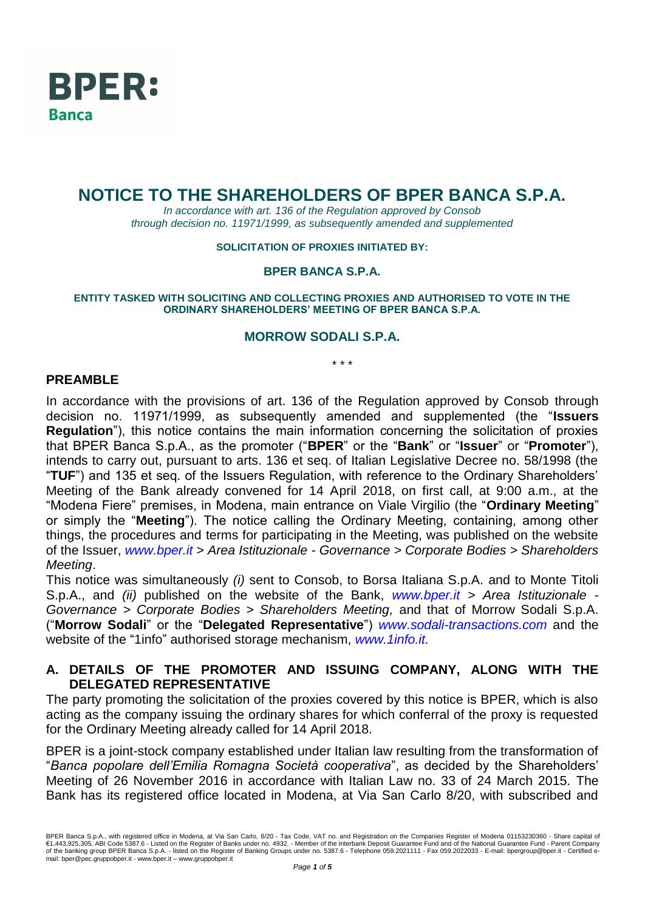

# **NOTICE TO THE SHAREHOLDERS OF BPER BANCA S.P.A.**

*In accordance with art. 136 of the Regulation approved by Consob through decision no. 11971/1999, as subsequently amended and supplemented*

#### **SOLICITATION OF PROXIES INITIATED BY:**

#### **BPER BANCA S.P.A.**

**ENTITY TASKED WITH SOLICITING AND COLLECTING PROXIES AND AUTHORISED TO VOTE IN THE ORDINARY SHAREHOLDERS' MEETING OF BPER BANCA S.P.A.**

### **MORROW SODALI S.P.A.**

*\* \* \**

### **PREAMBLE**

In accordance with the provisions of art. 136 of the Regulation approved by Consob through decision no. 11971/1999, as subsequently amended and supplemented (the "**Issuers Regulation**"), this notice contains the main information concerning the solicitation of proxies that BPER Banca S.p.A., as the promoter ("**BPER**" or the "**Bank**" or "**Issuer**" or "**Promoter**"), intends to carry out, pursuant to arts. 136 et seq. of Italian Legislative Decree no. 58/1998 (the "**TUF**") and 135 et seq. of the Issuers Regulation, with reference to the Ordinary Shareholders' Meeting of the Bank already convened for 14 April 2018, on first call, at 9:00 a.m., at the "Modena Fiere" premises, in Modena, main entrance on Viale Virgilio (the "**Ordinary Meeting**" or simply the "**Meeting**"). The notice calling the Ordinary Meeting, containing, among other things, the procedures and terms for participating in the Meeting, was published on the website of the Issuer, *www.bper.it* > *Area Istituzionale - Governance > Corporate Bodies > Shareholders Meeting*.

This notice was simultaneously *(i)* sent to Consob, to Borsa Italiana S.p.A. and to Monte Titoli S.p.A., and *(ii)* published on the website of the Bank, *[www.bper.it](http://www.bper.it/) > Area Istituzionale - Governance > Corporate Bodies > Shareholders Meeting,* and that of Morrow Sodali S.p.A. ("**Morrow Sodali**" or the "**Delegated Representative**") *[www.sodali-transactions.com](http://www.sodali-transactions.com/)* and the website of the "1info" authorised storage mechanism, *[www.1info.it.](http://www.1info.it/)*

### **A. DETAILS OF THE PROMOTER AND ISSUING COMPANY, ALONG WITH THE DELEGATED REPRESENTATIVE**

The party promoting the solicitation of the proxies covered by this notice is BPER, which is also acting as the company issuing the ordinary shares for which conferral of the proxy is requested for the Ordinary Meeting already called for 14 April 2018.

BPER is a joint-stock company established under Italian law resulting from the transformation of "*Banca popolare dell'Emilia Romagna Società cooperativa*", as decided by the Shareholders' Meeting of 26 November 2016 in accordance with Italian Law no. 33 of 24 March 2015. The Bank has its registered office located in Modena, at Via San Carlo 8/20, with subscribed and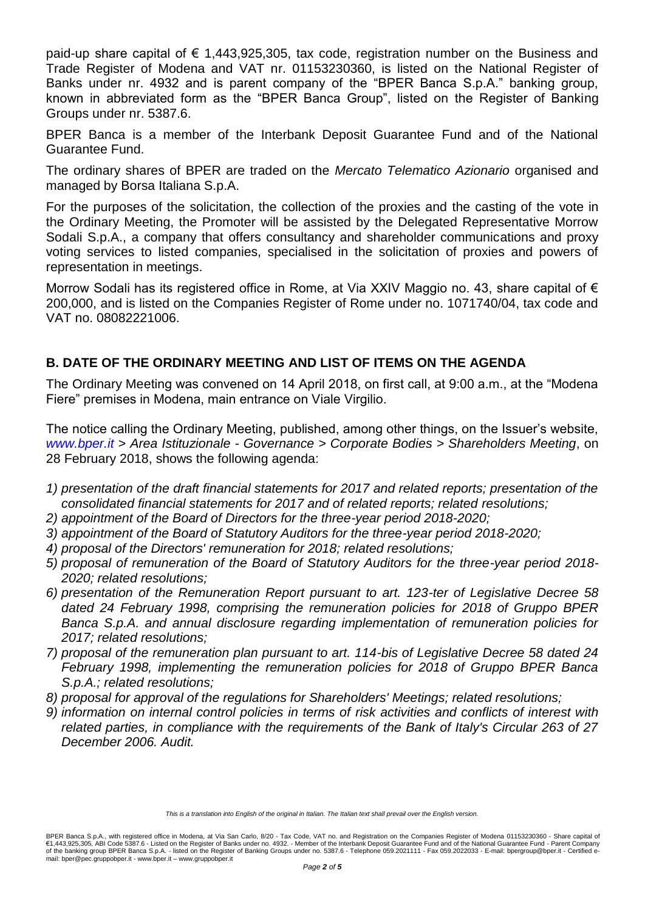paid-up share capital of  $\epsilon$  1,443,925,305, tax code, registration number on the Business and Trade Register of Modena and VAT nr. 01153230360, is listed on the National Register of Banks under nr. 4932 and is parent company of the "BPER Banca S.p.A." banking group, known in abbreviated form as the "BPER Banca Group", listed on the Register of Banking Groups under nr. 5387.6.

BPER Banca is a member of the Interbank Deposit Guarantee Fund and of the National Guarantee Fund.

The ordinary shares of BPER are traded on the *Mercato Telematico Azionario* organised and managed by Borsa Italiana S.p.A.

For the purposes of the solicitation, the collection of the proxies and the casting of the vote in the Ordinary Meeting, the Promoter will be assisted by the Delegated Representative Morrow Sodali S.p.A., a company that offers consultancy and shareholder communications and proxy voting services to listed companies, specialised in the solicitation of proxies and powers of representation in meetings.

Morrow Sodali has its registered office in Rome, at Via XXIV Maggio no. 43, share capital of € 200,000, and is listed on the Companies Register of Rome under no. 1071740/04, tax code and VAT no. 08082221006.

# **B. DATE OF THE ORDINARY MEETING AND LIST OF ITEMS ON THE AGENDA**

The Ordinary Meeting was convened on 14 April 2018, on first call, at 9:00 a.m., at the "Modena Fiere" premises in Modena, main entrance on Viale Virgilio.

The notice calling the Ordinary Meeting, published, among other things, on the Issuer's website, *[www.bper.it](http://www.bper.it/)* > *Area Istituzionale - Governance > Corporate Bodies > Shareholders Meeting*, on 28 February 2018, shows the following agenda:

- *1) presentation of the draft financial statements for 2017 and related reports; presentation of the consolidated financial statements for 2017 and of related reports; related resolutions;*
- *2) appointment of the Board of Directors for the three-year period 2018-2020;*
- *3) appointment of the Board of Statutory Auditors for the three-year period 2018-2020;*
- *4) proposal of the Directors' remuneration for 2018; related resolutions;*
- *5) proposal of remuneration of the Board of Statutory Auditors for the three-year period 2018- 2020; related resolutions;*
- *6) presentation of the Remuneration Report pursuant to art. 123-ter of Legislative Decree 58 dated 24 February 1998, comprising the remuneration policies for 2018 of Gruppo BPER Banca S.p.A. and annual disclosure regarding implementation of remuneration policies for 2017; related resolutions;*
- *7) proposal of the remuneration plan pursuant to art. 114-bis of Legislative Decree 58 dated 24 February 1998, implementing the remuneration policies for 2018 of Gruppo BPER Banca S.p.A.; related resolutions;*
- *8) proposal for approval of the regulations for Shareholders' Meetings; related resolutions;*
- *9) information on internal control policies in terms of risk activities and conflicts of interest with related parties, in compliance with the requirements of the Bank of Italy's Circular 263 of 27 December 2006. Audit.*

*This is a translation into English of the original in Italian. The Italian text shall prevail over the English version.*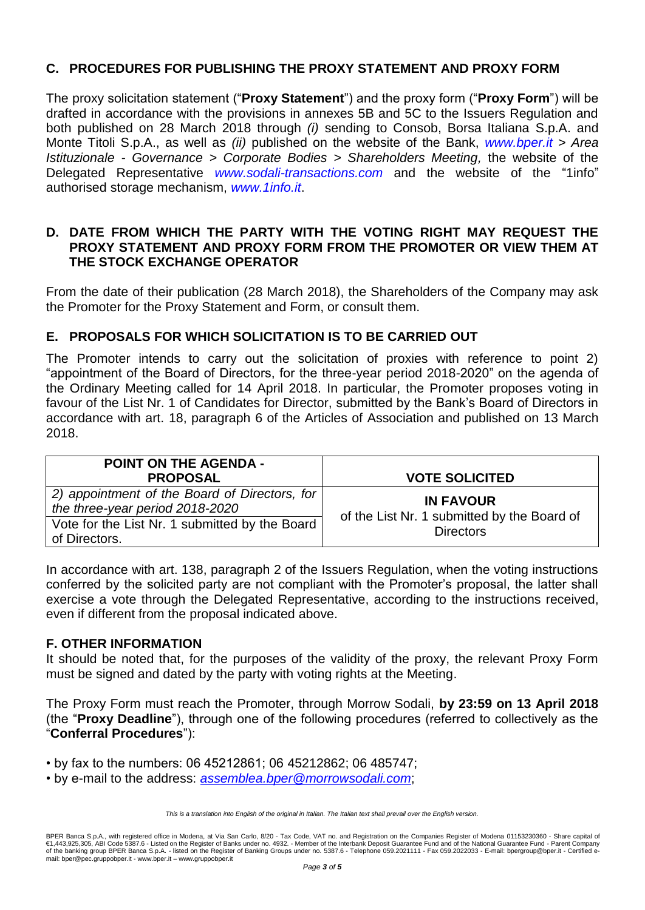# **C. PROCEDURES FOR PUBLISHING THE PROXY STATEMENT AND PROXY FORM**

The proxy solicitation statement ("**Proxy Statement**") and the proxy form ("**Proxy Form**") will be drafted in accordance with the provisions in annexes 5B and 5C to the Issuers Regulation and both published on 28 March 2018 through *(i)* sending to Consob, Borsa Italiana S.p.A. and Monte Titoli S.p.A., as well as *(ii)* published on the website of the Bank, *[www.bper.it](http://www.bper.it/)* > *Area Istituzionale - Governance > Corporate Bodies > Shareholders Meeting,* the website of the Delegated Representative *www.sodali-transactions.com* and the website of the "1info" authorised storage mechanism, *[www.1info.it](http://www.1info.it/)*.

### **D. DATE FROM WHICH THE PARTY WITH THE VOTING RIGHT MAY REQUEST THE PROXY STATEMENT AND PROXY FORM FROM THE PROMOTER OR VIEW THEM AT THE STOCK EXCHANGE OPERATOR**

From the date of their publication (28 March 2018), the Shareholders of the Company may ask the Promoter for the Proxy Statement and Form, or consult them.

# **E. PROPOSALS FOR WHICH SOLICITATION IS TO BE CARRIED OUT**

The Promoter intends to carry out the solicitation of proxies with reference to point 2) "appointment of the Board of Directors, for the three-year period 2018-2020" on the agenda of the Ordinary Meeting called for 14 April 2018. In particular, the Promoter proposes voting in favour of the List Nr. 1 of Candidates for Director, submitted by the Bank's Board of Directors in accordance with art. 18, paragraph 6 of the Articles of Association and published on 13 March 2018.

| <b>POINT ON THE AGENDA -</b><br><b>PROPOSAL</b>                                  | <b>VOTE SOLICITED</b>                                           |
|----------------------------------------------------------------------------------|-----------------------------------------------------------------|
|                                                                                  |                                                                 |
| 2) appointment of the Board of Directors, for<br>the three-year period 2018-2020 | <b>IN FAVOUR</b>                                                |
| Vote for the List Nr. 1 submitted by the Board<br>of Directors.                  | of the List Nr. 1 submitted by the Board of<br><b>Directors</b> |

In accordance with art. 138, paragraph 2 of the Issuers Regulation, when the voting instructions conferred by the solicited party are not compliant with the Promoter's proposal, the latter shall exercise a vote through the Delegated Representative, according to the instructions received, even if different from the proposal indicated above.

### **F. OTHER INFORMATION**

It should be noted that, for the purposes of the validity of the proxy, the relevant Proxy Form must be signed and dated by the party with voting rights at the Meeting.

The Proxy Form must reach the Promoter, through Morrow Sodali, **by 23:59 on 13 April 2018**  (the "**Proxy Deadline**"), through one of the following procedures (referred to collectively as the "**Conferral Procedures**"):

• by fax to the numbers: 06 45212861; 06 45212862; 06 485747;

• by e-mail to the address: *[assemblea.bper@morrowsodali.com](mailto:assemblea.bper@morrowsodali.com)*;

*This is a translation into English of the original in Italian. The Italian text shall prevail over the English version.*

BPER Banca S.p.A., with registered office in Modena, at Via San Carlo, 8/20 - Tax Code, VAT no. and Registration on the Companies Register of Modena 01153230360 - Share capital of<br>€1,443,925,305, ABI Code 5387.6 - Listed of the banking group BPER Banca S.p.A. - listed on the Register of Banking Groups under no. 5387.6 - Telephone 059.2021111 - Fax 059.2022033 - E-mail: bpergroup@bper.it - Certified email: bper@pec.gruppobper.it - www.bper.it – www.gruppobper.it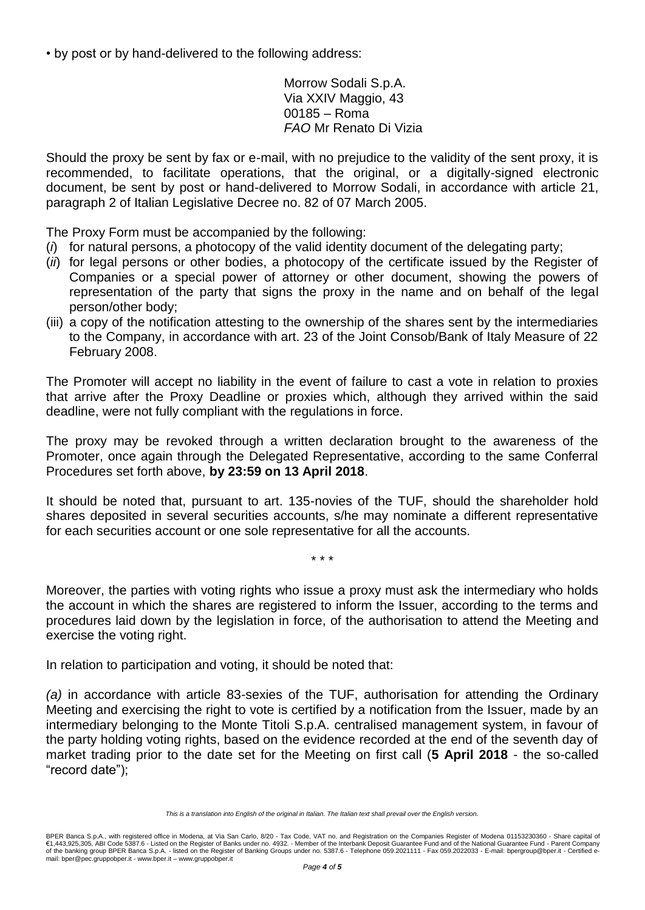• by post or by hand-delivered to the following address:

Morrow Sodali S.p.A. Via XXIV Maggio, 43 00185 – Roma *FAO* Mr Renato Di Vizia

Should the proxy be sent by fax or e-mail, with no prejudice to the validity of the sent proxy, it is recommended, to facilitate operations, that the original, or a digitally-signed electronic document, be sent by post or hand-delivered to Morrow Sodali, in accordance with article 21, paragraph 2 of Italian Legislative Decree no. 82 of 07 March 2005.

The Proxy Form must be accompanied by the following:

- (*i*) for natural persons, a photocopy of the valid identity document of the delegating party;
- (*ii*) for legal persons or other bodies, a photocopy of the certificate issued by the Register of Companies or a special power of attorney or other document, showing the powers of representation of the party that signs the proxy in the name and on behalf of the legal person/other body;
- (iii) a copy of the notification attesting to the ownership of the shares sent by the intermediaries to the Company, in accordance with art. 23 of the Joint Consob/Bank of Italy Measure of 22 February 2008.

The Promoter will accept no liability in the event of failure to cast a vote in relation to proxies that arrive after the Proxy Deadline or proxies which, although they arrived within the said deadline, were not fully compliant with the regulations in force.

The proxy may be revoked through a written declaration brought to the awareness of the Promoter, once again through the Delegated Representative, according to the same Conferral Procedures set forth above, **by 23:59 on 13 April 2018**.

It should be noted that, pursuant to art. 135-novies of the TUF, should the shareholder hold shares deposited in several securities accounts, s/he may nominate a different representative for each securities account or one sole representative for all the accounts.

\* \* \*

Moreover, the parties with voting rights who issue a proxy must ask the intermediary who holds the account in which the shares are registered to inform the Issuer, according to the terms and procedures laid down by the legislation in force, of the authorisation to attend the Meeting and exercise the voting right.

In relation to participation and voting, it should be noted that:

*(a)* in accordance with article 83-sexies of the TUF, authorisation for attending the Ordinary Meeting and exercising the right to vote is certified by a notification from the Issuer, made by an intermediary belonging to the Monte Titoli S.p.A. centralised management system, in favour of the party holding voting rights, based on the evidence recorded at the end of the seventh day of market trading prior to the date set for the Meeting on first call (**5 April 2018** - the so-called "record date");

*This is a translation into English of the original in Italian. The Italian text shall prevail over the English version.*